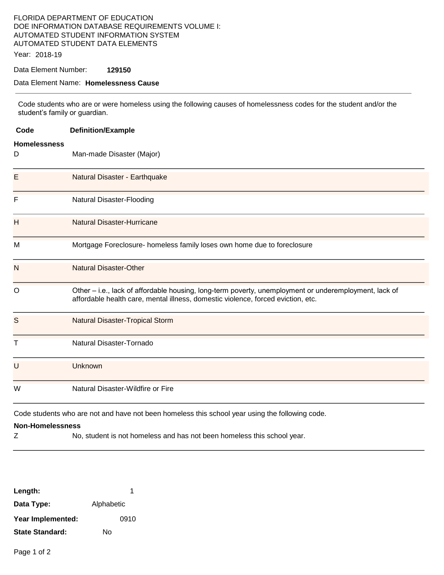# FLORIDA DEPARTMENT OF EDUCATION DOE INFORMATION DATABASE REQUIREMENTS VOLUME I: AUTOMATED STUDENT INFORMATION SYSTEM AUTOMATED STUDENT DATA ELEMENTS

Year: 2018-19

### Data Element Number: **129150**

#### Data Element Name: **Homelessness Cause**

Code students who are or were homeless using the following causes of homelessness codes for the student and/or the student's family or guardian.

| Code                     | <b>Definition/Example</b>                                                                                                                                                                 |
|--------------------------|-------------------------------------------------------------------------------------------------------------------------------------------------------------------------------------------|
| <b>Homelessness</b><br>D | Man-made Disaster (Major)                                                                                                                                                                 |
| Е                        | Natural Disaster - Earthquake                                                                                                                                                             |
| F                        | Natural Disaster-Flooding                                                                                                                                                                 |
| H                        | <b>Natural Disaster-Hurricane</b>                                                                                                                                                         |
| M                        | Mortgage Foreclosure- homeless family loses own home due to foreclosure                                                                                                                   |
| N                        | <b>Natural Disaster-Other</b>                                                                                                                                                             |
| $\circ$                  | Other – i.e., lack of affordable housing, long-term poverty, unemployment or underemployment, lack of<br>affordable health care, mental illness, domestic violence, forced eviction, etc. |
| S                        | <b>Natural Disaster-Tropical Storm</b>                                                                                                                                                    |
| T                        | Natural Disaster-Tornado                                                                                                                                                                  |
| U                        | Unknown                                                                                                                                                                                   |
| W                        | Natural Disaster-Wildfire or Fire                                                                                                                                                         |
|                          | Code students who are not and have not been homeless this school year using the following code.                                                                                           |
| <b>Non-Homelessness</b>  |                                                                                                                                                                                           |
| Ζ                        | No, student is not homeless and has not been homeless this school year.                                                                                                                   |

| Length:                |            |
|------------------------|------------|
| Data Type:             | Alphabetic |
| Year Implemented:      | 0910       |
| <b>State Standard:</b> | N٥         |